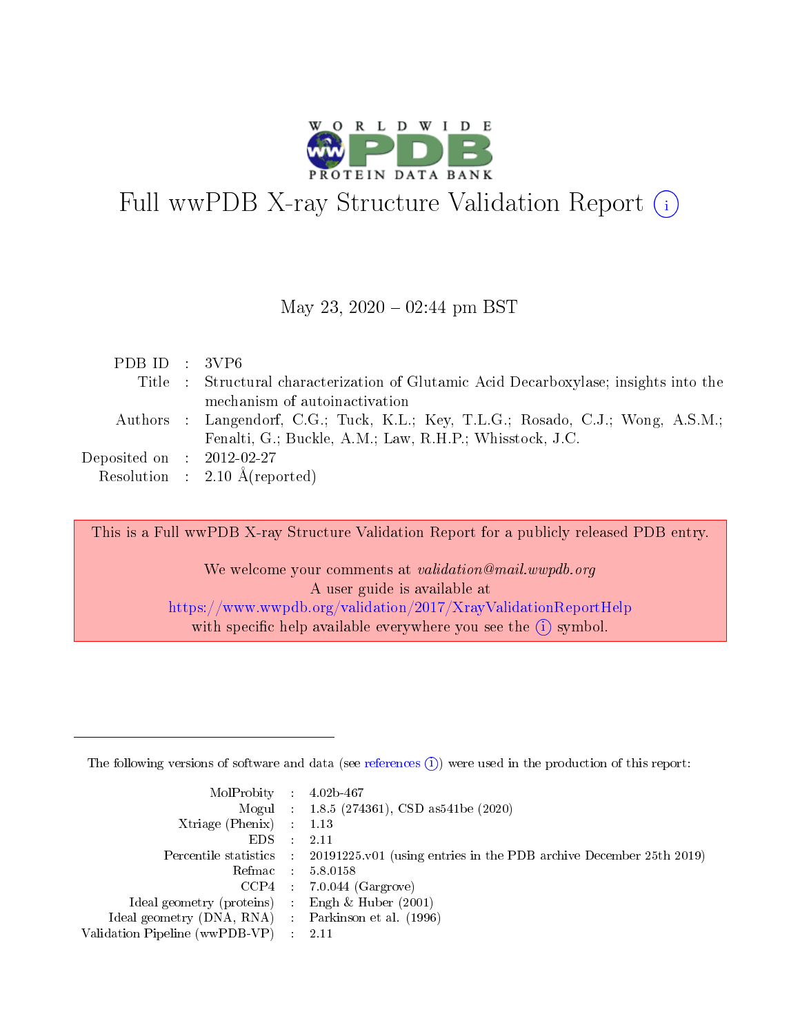

# Full wwPDB X-ray Structure Validation Report  $(i)$

#### May 23,  $2020 - 02:44$  pm BST

| PDB ID : $3VP6$                      |                                                                                       |
|--------------------------------------|---------------------------------------------------------------------------------------|
|                                      | Title : Structural characterization of Glutamic Acid Decarboxylase; insights into the |
|                                      | mechanism of autoinactivation                                                         |
|                                      | Authors : Langendorf, C.G.; Tuck, K.L.; Key, T.L.G.; Rosado, C.J.; Wong, A.S.M.;      |
|                                      | Fenalti, G.; Buckle, A.M.; Law, R.H.P.; Whisstock, J.C.                               |
| Deposited on $\therefore$ 2012-02-27 |                                                                                       |
|                                      | Resolution : $2.10 \text{ Å}$ (reported)                                              |

This is a Full wwPDB X-ray Structure Validation Report for a publicly released PDB entry.

We welcome your comments at validation@mail.wwpdb.org A user guide is available at <https://www.wwpdb.org/validation/2017/XrayValidationReportHelp> with specific help available everywhere you see the  $(i)$  symbol.

The following versions of software and data (see [references](https://www.wwpdb.org/validation/2017/XrayValidationReportHelp#references)  $(1)$ ) were used in the production of this report:

| $MolProbability$ : 4.02b-467                       |               |                                                                                            |
|----------------------------------------------------|---------------|--------------------------------------------------------------------------------------------|
|                                                    |               | Mogul : $1.8.5$ (274361), CSD as 541be (2020)                                              |
| Xtriage (Phenix) $: 1.13$                          |               |                                                                                            |
| EDS.                                               | $\mathcal{L}$ | -2.11                                                                                      |
|                                                    |               | Percentile statistics : 20191225.v01 (using entries in the PDB archive December 25th 2019) |
|                                                    |               | Refmac : 5.8.0158                                                                          |
|                                                    |               | $CCP4$ 7.0.044 (Gargrove)                                                                  |
| Ideal geometry (proteins) : Engh $\&$ Huber (2001) |               |                                                                                            |
| Ideal geometry (DNA, RNA) Parkinson et al. (1996)  |               |                                                                                            |
| Validation Pipeline (wwPDB-VP) : 2.11              |               |                                                                                            |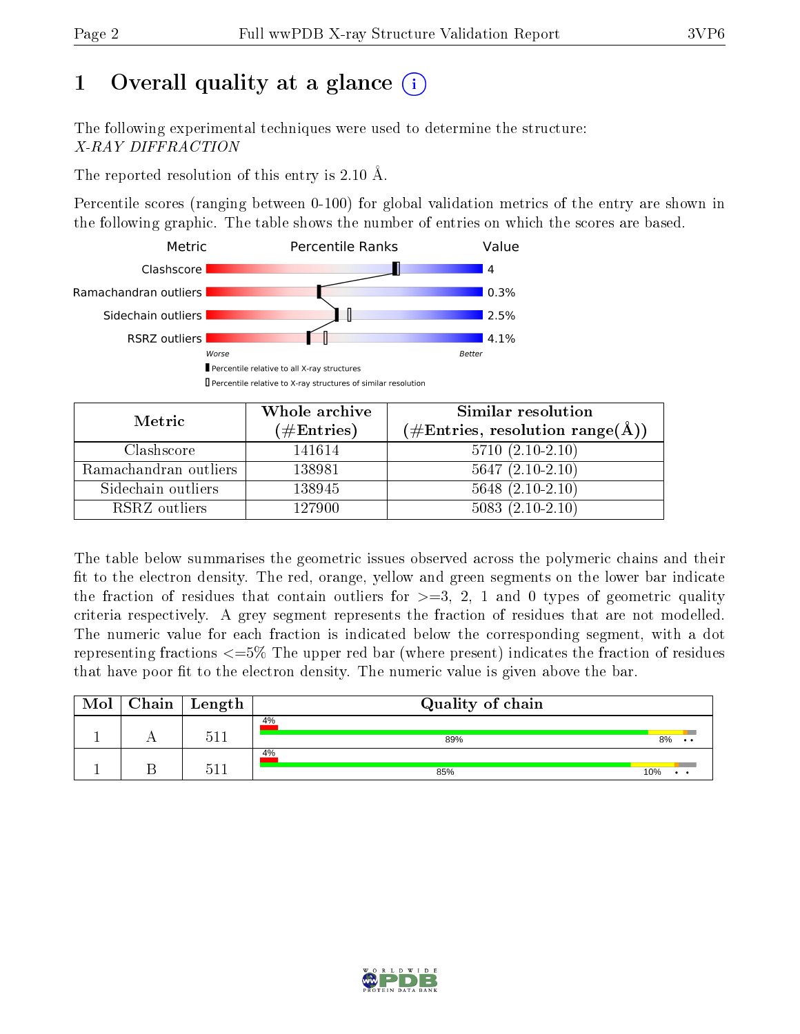# 1 [O](https://www.wwpdb.org/validation/2017/XrayValidationReportHelp#overall_quality)verall quality at a glance  $(i)$

The following experimental techniques were used to determine the structure: X-RAY DIFFRACTION

The reported resolution of this entry is 2.10 Å.

Percentile scores (ranging between 0-100) for global validation metrics of the entry are shown in the following graphic. The table shows the number of entries on which the scores are based.



| Metric                | Whole archive<br>$(\#\text{Entries})$ | Similar resolution<br>$(\#\text{Entries}, \text{resolution range}(\AA))$ |
|-----------------------|---------------------------------------|--------------------------------------------------------------------------|
| Clashscore            | 141614                                | $5710(2.10-2.10)$                                                        |
| Ramachandran outliers | 138981                                | $5647(2.10-2.10)$                                                        |
| Sidechain outliers    | 138945                                | $5648$ $(2.10-2.10)$                                                     |
| RSRZ outliers         | 127900                                | $5083(2.10-2.10)$                                                        |

The table below summarises the geometric issues observed across the polymeric chains and their fit to the electron density. The red, orange, yellow and green segments on the lower bar indicate the fraction of residues that contain outliers for  $\geq=3$ , 2, 1 and 0 types of geometric quality criteria respectively. A grey segment represents the fraction of residues that are not modelled. The numeric value for each fraction is indicated below the corresponding segment, with a dot representing fractions  $\epsilon = 5\%$  The upper red bar (where present) indicates the fraction of residues that have poor fit to the electron density. The numeric value is given above the bar.

| Mol | Chain | Length | Quality of chain |                       |
|-----|-------|--------|------------------|-----------------------|
|     |       | 511    | 4%<br>89%        | 8%<br>$\cdot$ $\cdot$ |
|     |       | 511    | 4%<br>85%        | 10%                   |

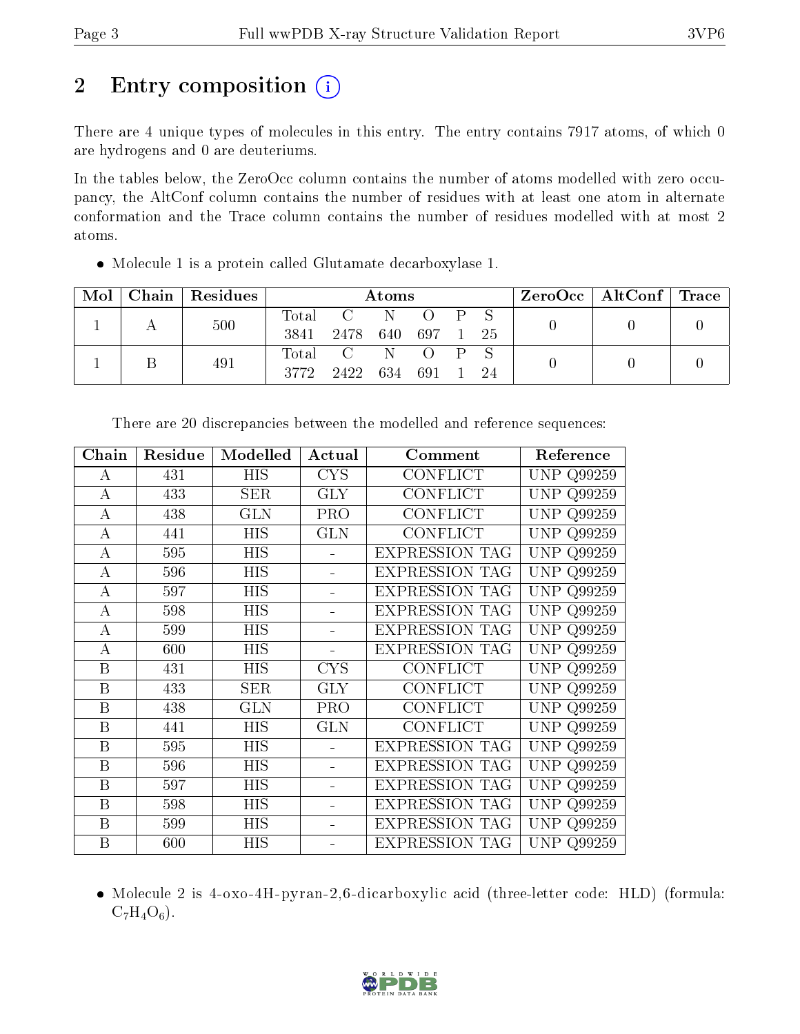# 2 Entry composition  $\left( \cdot \right)$

There are 4 unique types of molecules in this entry. The entry contains 7917 atoms, of which 0 are hydrogens and 0 are deuteriums.

In the tables below, the ZeroOcc column contains the number of atoms modelled with zero occupancy, the AltConf column contains the number of residues with at least one atom in alternate conformation and the Trace column contains the number of residues modelled with at most 2 atoms.

Molecule 1 is a protein called Glutamate decarboxylase 1.

| Mol |  | Chain   Residues |              | Atoms            |  |                  |     |    | $\text{ZeroOcc} \mid \text{AltConf} \mid \text{Trace}$ |  |
|-----|--|------------------|--------------|------------------|--|------------------|-----|----|--------------------------------------------------------|--|
|     |  | 500              | Total        | $\overline{C}$ N |  | $\left( \right)$ | PS. |    |                                                        |  |
|     |  |                  | 3841         | 2478             |  | 640 697          |     | 25 |                                                        |  |
|     |  | 491              |              | Total C          |  |                  |     |    |                                                        |  |
|     |  | 3772             | 2422 634 691 |                  |  |                  | 24  |    |                                                        |  |

| Chain            | Residue | Modelled    | Actual     | Comment               | Reference            |
|------------------|---------|-------------|------------|-----------------------|----------------------|
| А                | 431     | <b>HIS</b>  | <b>CYS</b> | CONFLICT              | UNP Q99259           |
| А                | 433     | ${\rm SER}$ | GLY        | CONFLICT              | Q99259<br><b>UNP</b> |
| А                | 438     | GLN         | <b>PRO</b> | <b>CONFLICT</b>       | Q99259<br>UNP.       |
| А                | 441     | <b>HIS</b>  | <b>GLN</b> | <b>CONFLICT</b>       | <b>UNP Q99259</b>    |
| А                | 595     | HIS         |            | <b>EXPRESSION TAG</b> | <b>UNP Q99259</b>    |
| А                | 596     | <b>HIS</b>  |            | <b>EXPRESSION TAG</b> | <b>UNP</b><br>Q99259 |
| А                | 597     | HIS         |            | <b>EXPRESSION TAG</b> | <b>UNP</b><br>Q99259 |
| $\overline{A}$   | 598     | HIS         |            | <b>EXPRESSION TAG</b> | <b>UNP</b><br>Q99259 |
| А                | 599     | <b>HIS</b>  |            | <b>EXPRESSION TAG</b> | <b>UNP Q99259</b>    |
| $\bf{A}$         | 600     | HIS         |            | <b>EXPRESSION TAG</b> | <b>UNP</b><br>Q99259 |
| B                | 431     | HIS         | <b>CYS</b> | <b>CONFLICT</b>       | <b>UNP</b><br>Q99259 |
| B                | 433     | SER         | <b>GLY</b> | <b>CONFLICT</b>       | UNP<br>Q99259        |
| B                | 438     | <b>GLN</b>  | <b>PRO</b> | <b>CONFLICT</b>       | UNP<br>Q99259        |
| $\boldsymbol{B}$ | 441     | <b>HIS</b>  | <b>GLN</b> | <b>CONFLICT</b>       | <b>UNP Q99259</b>    |
| B                | 595     | <b>HIS</b>  |            | <b>EXPRESSION TAG</b> | <b>UNP</b><br>Q99259 |
| B                | 596     | HIS         |            | <b>EXPRESSION TAG</b> | <b>UNP</b><br>Q99259 |
| B                | 597     | HIS         |            | <b>EXPRESSION TAG</b> | <b>UNP</b><br>Q99259 |
| B                | 598     | <b>HIS</b>  |            | <b>EXPRESSION TAG</b> | <b>UNP</b><br>Q99259 |
| $\boldsymbol{B}$ | 599     | HIS         |            | <b>EXPRESSION TAG</b> | UNP<br>Q99259        |
| B                | 600     | HIS         |            | <b>EXPRESSION TAG</b> | UNP Q99259           |

There are 20 discrepancies between the modelled and reference sequences:

• Molecule 2 is 4-oxo-4H-pyran-2,6-dicarboxylic acid (three-letter code: HLD) (formula:  $C_7H_4O_6$ .

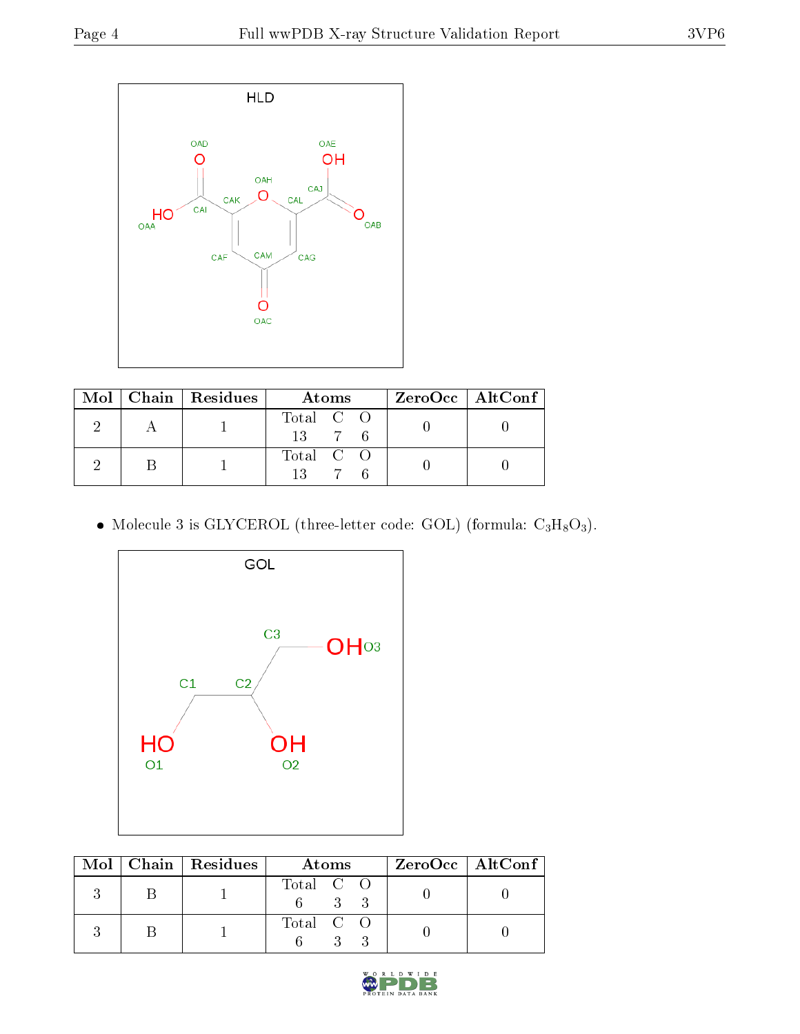

|  | $Mol$   Chain   Residues | Atoms                       | ZeroOcc   AltConf |  |
|--|--------------------------|-----------------------------|-------------------|--|
|  |                          | Total C O<br>$13 \t 7 \t 6$ |                   |  |
|  |                          | Total C O                   |                   |  |

• Molecule 3 is GLYCEROL (three-letter code: GOL) (formula:  $C_3H_8O_3$ ).



|  | Mol   Chain   Residues | Atoms     | ZeroOcc   AltConf |
|--|------------------------|-----------|-------------------|
|  |                        | Total C O |                   |
|  |                        | Total C O |                   |

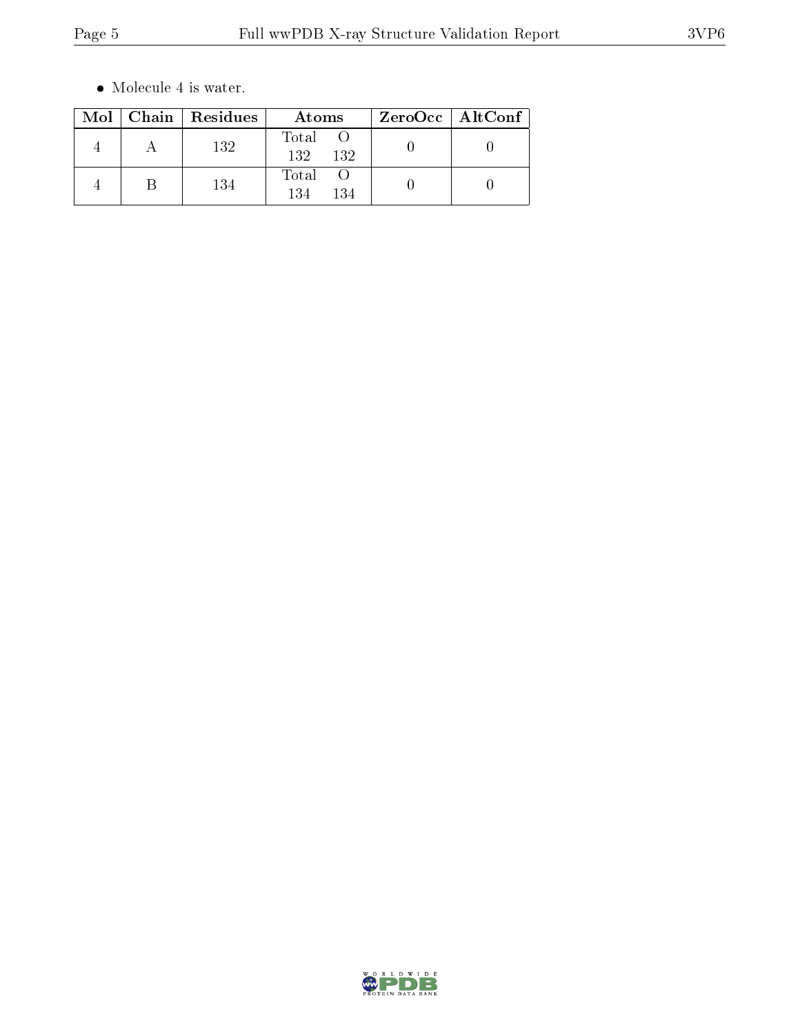$\bullet\,$  Molecule 4 is water.

|  | Mol   Chain   Residues | Atoms               | ZeroOcc   AltConf |  |
|--|------------------------|---------------------|-------------------|--|
|  | 132                    | Total<br>132<br>132 |                   |  |
|  | 134                    | Total<br>134<br>134 |                   |  |

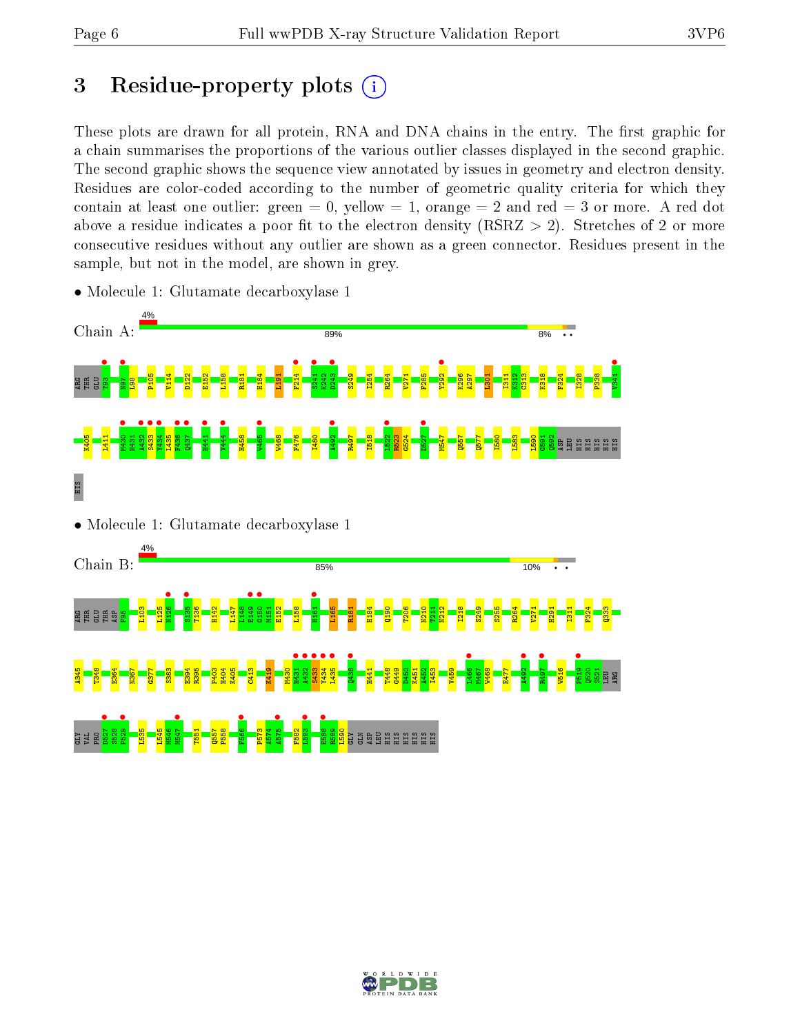# 3 Residue-property plots  $(i)$

These plots are drawn for all protein, RNA and DNA chains in the entry. The first graphic for a chain summarises the proportions of the various outlier classes displayed in the second graphic. The second graphic shows the sequence view annotated by issues in geometry and electron density. Residues are color-coded according to the number of geometric quality criteria for which they contain at least one outlier: green  $= 0$ , yellow  $= 1$ , orange  $= 2$  and red  $= 3$  or more. A red dot above a residue indicates a poor fit to the electron density (RSRZ  $> 2$ ). Stretches of 2 or more consecutive residues without any outlier are shown as a green connector. Residues present in the sample, but not in the model, are shown in grey.



• Molecule 1: Glutamate decarboxylase 1

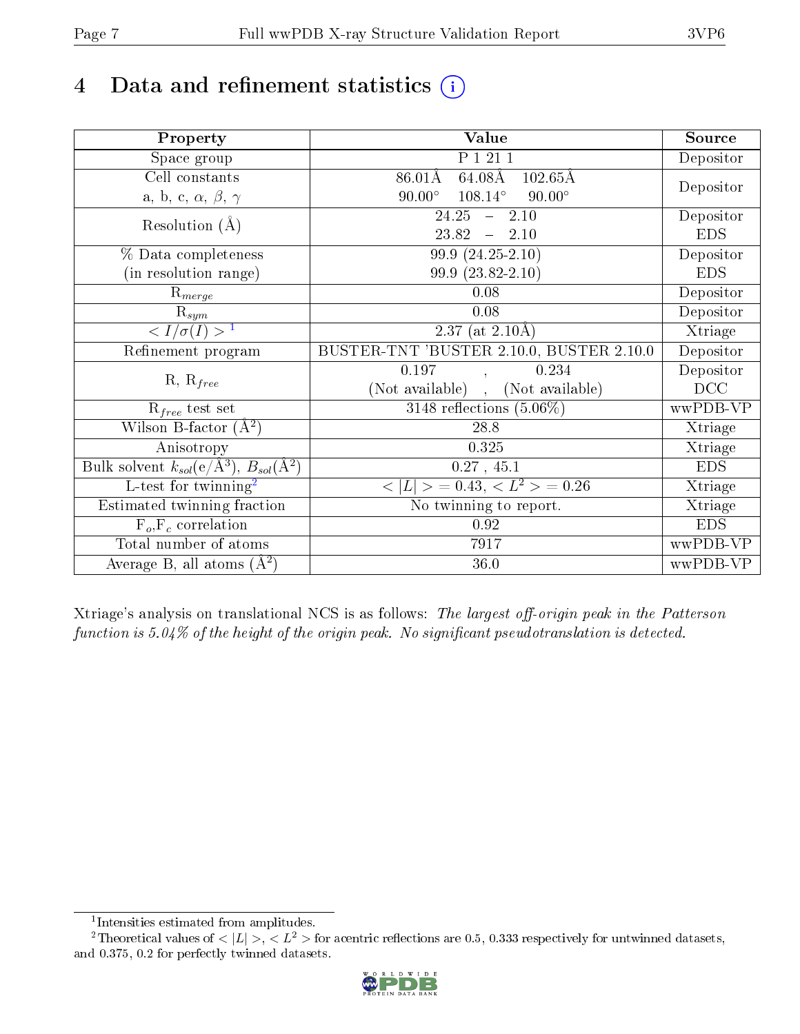# 4 Data and refinement statistics  $(i)$

| Property                                                             | Value                                                    | Source     |
|----------------------------------------------------------------------|----------------------------------------------------------|------------|
| Space group                                                          | P 1 21 1                                                 | Depositor  |
| Cell constants                                                       | $64.08\text{\AA}$<br>$86.01\rm\AA$<br>$102.65\text{\AA}$ |            |
| a, b, c, $\alpha$ , $\beta$ , $\gamma$                               | $108.14^{\circ}$<br>$90.00^\circ$<br>$90.00^\circ$       | Depositor  |
| Resolution $(A)$                                                     | 24.25<br>$-2.10$                                         | Depositor  |
|                                                                      | 23.82<br>$-2.10$                                         | <b>EDS</b> |
| % Data completeness                                                  | $99.9(24.25-2.10)$                                       | Depositor  |
| (in resolution range)                                                | $99.9(23.82 - 2.10)$                                     | <b>EDS</b> |
| $R_{merge}$                                                          | $0.08\,$                                                 | Depositor  |
| $\bar{\mathrm{R}}_{\underline{sym}}$                                 | 0.08                                                     | Depositor  |
| $\langle I/\sigma(I) \rangle^{-1}$                                   | $\overline{2.37}$ (at 2.10Å)                             | Xtriage    |
| Refinement program                                                   | BUSTER-TNT 'BUSTER 2.10.0, BUSTER 2.10.0                 | Depositor  |
|                                                                      | 0.197<br>0.234                                           | Depositor  |
| $R, R_{free}$                                                        | (Not available)<br>(Not available)                       | DCC        |
| $R_{free}$ test set                                                  | 3148 reflections $(5.06\%)$                              | wwPDB-VP   |
| Wilson B-factor $(A^2)$                                              | 28.8                                                     | Xtriage    |
| Anisotropy                                                           | 0.325                                                    | Xtriage    |
| Bulk solvent $k_{sol}(e/\mathring{A}^3)$ , $B_{sol}(\mathring{A}^2)$ | $0.27$ , 45.1                                            | <b>EDS</b> |
| L-test for twinning <sup>2</sup>                                     | $\langle  L  \rangle = 0.43, \langle L^2 \rangle = 0.26$ | Xtriage    |
| Estimated twinning fraction                                          | No twinning to report.                                   | Xtriage    |
| $F_o, F_c$ correlation                                               | 0.92                                                     | <b>EDS</b> |
| Total number of atoms                                                | 7917                                                     | wwPDB-VP   |
| Average B, all atoms $(A^2)$                                         | 36.0                                                     | wwPDB-VP   |

Xtriage's analysis on translational NCS is as follows: The largest off-origin peak in the Patterson function is  $5.04\%$  of the height of the origin peak. No significant pseudotranslation is detected.

<sup>&</sup>lt;sup>2</sup>Theoretical values of  $\langle |L| \rangle$ ,  $\langle L^2 \rangle$  for acentric reflections are 0.5, 0.333 respectively for untwinned datasets, and 0.375, 0.2 for perfectly twinned datasets.



<span id="page-6-1"></span><span id="page-6-0"></span><sup>1</sup> Intensities estimated from amplitudes.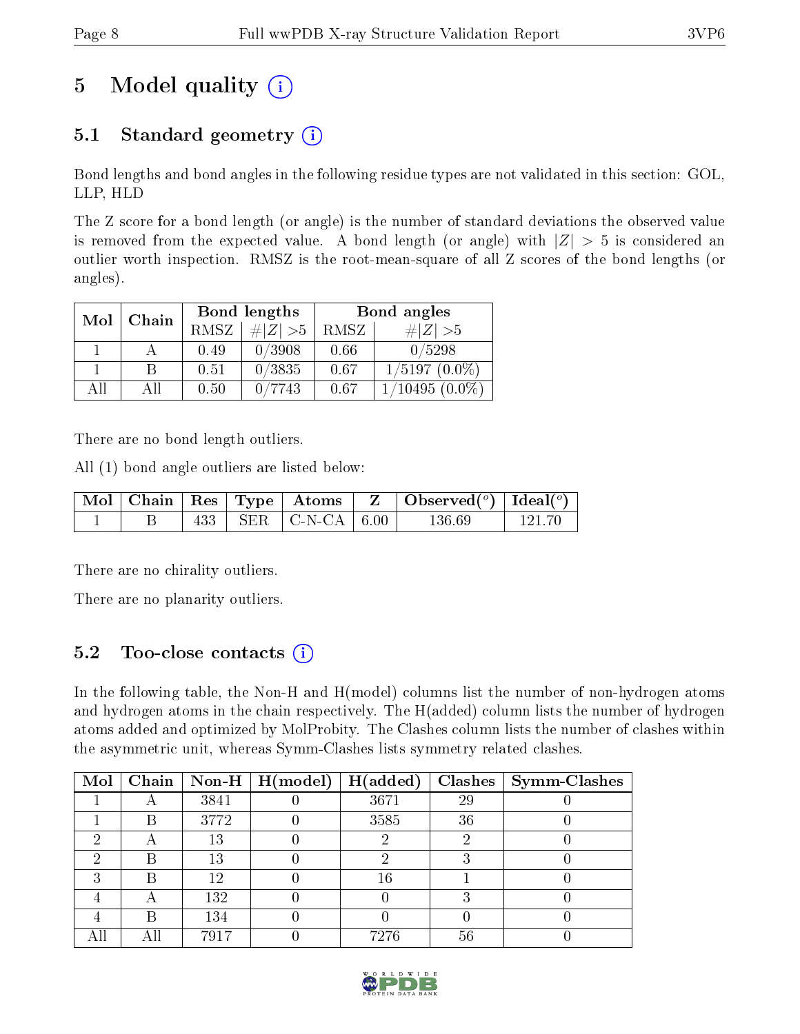# 5 Model quality  $(i)$

## 5.1 Standard geometry  $(i)$

Bond lengths and bond angles in the following residue types are not validated in this section: GOL, LLP, HLD

The Z score for a bond length (or angle) is the number of standard deviations the observed value is removed from the expected value. A bond length (or angle) with  $|Z| > 5$  is considered an outlier worth inspection. RMSZ is the root-mean-square of all Z scores of the bond lengths (or angles).

| Mol | Chain |      | Bond lengths | Bond angles |                  |  |
|-----|-------|------|--------------|-------------|------------------|--|
|     |       | RMSZ | # $ Z >5$    | RMSZ        | $\# Z  > 5$      |  |
|     |       | 0.49 | 0/3908       | 0.66        | 0/5298           |  |
|     | R     | 0.51 | 0/3835       | 0.67        | $1/5197(0.0\%)$  |  |
| AH  | ΑH    | 0.50 | /7743        | 0.67        | $1/10495(0.0\%)$ |  |

There are no bond length outliers.

All (1) bond angle outliers are listed below:

|  |  |                           | $\mid$ Mol $\mid$ Chain $\mid$ Res $\mid$ Type $\mid$ Atoms $\mid$ Z $\mid$ Observed( <sup>o</sup> ) $\mid$ Ideal( <sup>o</sup> ) |         |
|--|--|---------------------------|-----------------------------------------------------------------------------------------------------------------------------------|---------|
|  |  | 433   SER   C-N-CA   6.00 | 136.69                                                                                                                            | -121.70 |

There are no chirality outliers.

There are no planarity outliers.

### 5.2 Too-close contacts (i)

In the following table, the Non-H and H(model) columns list the number of non-hydrogen atoms and hydrogen atoms in the chain respectively. The H(added) column lists the number of hydrogen atoms added and optimized by MolProbity. The Clashes column lists the number of clashes within the asymmetric unit, whereas Symm-Clashes lists symmetry related clashes.

| Mol |   |      | Chain   Non-H   $H (model)$ | H(added) |    | Clashes   Symm-Clashes |
|-----|---|------|-----------------------------|----------|----|------------------------|
|     |   | 3841 |                             | 3671     | 29 |                        |
|     | В | 3772 |                             | 3585     | 36 |                        |
|     |   | 13   |                             |          |    |                        |
|     | К | 13   |                             |          |    |                        |
| ົ   | R | 12   |                             | 16       |    |                        |
|     | A | 132  |                             |          |    |                        |
|     | R | 134  |                             |          |    |                        |
|     |   | 7917 |                             | 7276     | 56 |                        |

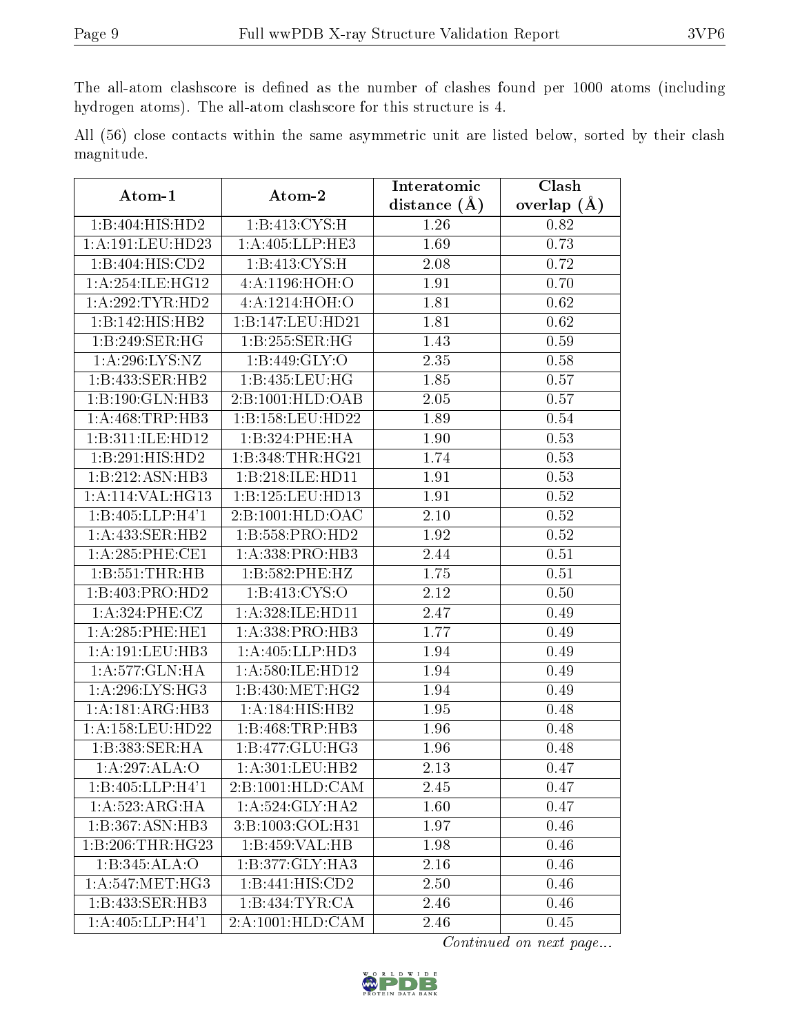The all-atom clashscore is defined as the number of clashes found per 1000 atoms (including hydrogen atoms). The all-atom clashscore for this structure is 4.

All (56) close contacts within the same asymmetric unit are listed below, sorted by their clash magnitude.

| Atom-1                        | Atom-2              | Interatomic       | Clash         |
|-------------------------------|---------------------|-------------------|---------------|
|                               |                     | distance $(A)$    | overlap $(A)$ |
| 1:B:404:HIS:HD2               | 1:B:413:CYS:H       | 1.26              | 0.82          |
| 1: A: 191: LEU: HD23          | 1: A:405:LLP:HE3    | 1.69              | 0.73          |
| 1:B:404:HIS:CD2               | 1: B: 413: CYS:H    | 2.08              | 0.72          |
| 1: A:254: ILE: HG12           | 4: A: 1196: HOH: O  | 1.91              | 0.70          |
| 1: A:292:TYR:HD2              | 4: A: 1214: HOH:O   | 1.81              | 0.62          |
| 1:B:142:HIS:HB2               | 1:B:147:LEU:HD21    | 1.81              | 0.62          |
| 1:B:249:SER:HG                | 1:B:255:SER:HG      | 1.43              | 0.59          |
| 1:A:296:LYS:NZ                | 1: B:449: GLY:O     | 2.35              | 0.58          |
| 1:B:433:SER:HB2               | 1:B:435:LEU:HG      | 1.85              | 0.57          |
| 1:B:190:GLN:HB3               | 2:B:1001:HLD:OAB    | $\overline{2.05}$ | 0.57          |
| 1: A:468:TRP:HB3              | 1:B:158:LEU:HD22    | 1.89              | 0.54          |
| 1:B:311:ILE:HD12              | 1:B:324:PHE:HA      | 1.90              | 0.53          |
| 1:B:291:HIS:HD2               | 1:B:348:THR:HG21    | 1.74              | 0.53          |
| 1:B:212:ASN:HB3               | 1:B:218:ILE:HD11    | 1.91              | 0.53          |
| 1: A:114: VAL:HG13            | 1:B:125:LEU:HD13    | 1.91              | 0.52          |
| 1:B:405:LLP:H4'1              | 2:B:1001:HLD:OAC    | 2.10              | 0.52          |
| 1:A:433:SER:HB2               | 1:B:558:PRO:HD2     | 1.92              | 0.52          |
| $1: A:285:$ PHE:CE1           | 1: A: 338: PRO: HB3 | 2.44              | 0.51          |
| 1:B:551:THR:HB                | 1:B:582:PHE:HZ      | 1.75              | 0.51          |
| 1:B:403:PRO:HD2               | 1: B: 413: CYS:O    | 2.12              | 0.50          |
| 1: A:324: PHE: CZ             | 1:A:328:ILE:HD11    | 2.47              | 0.49          |
| 1: A:285:PHE:HE1              | 1:A:338:PRO:HB3     | 1.77              | 0.49          |
| 1:A:191:LEU:HB3               | 1:A:405:LLP:HD3     | 1.94              | 0.49          |
| 1:A:577:GLN:HA                | 1: A:580: ILE: HD12 | 1.94              | 0.49          |
| 1: A:296: LYS: HG3            | 1: B:430:MET:HG2    | 1.94              | 0.49          |
| 1:A:181:ARG:HB3               | 1:A:184:HIS:HB2     | 1.95              | 0.48          |
| 1:A:158:LEU:HD22              | 1:B:468:TRP:HB3     | 1.96              | 0.48          |
| 1:B:383:SER:HA                | 1:B:477:GLU:HG3     | 1.96              | 0.48          |
| 1:A:297:ALA:O                 | 1: A:301: LEU: HB2  | $\overline{2.13}$ | 0.47          |
| 1:B:405:LLP:H4'1              | 2:B:1001:HLD:CAM    | 2.45              | 0.47          |
| 1:A:523:ARG:HA                | 1:A:524:GLY:HA2     | 1.60              | 0.47          |
| $1:B:367: \overline{ASN:HB3}$ | 3:B:1003:GOL:H31    | 1.97              | 0.46          |
| 1:B:206:THR:HG23              | 1:B:459:VAL:HB      | 1.98              | 0.46          |
| 1:B:345:ALA:O                 | 1:B:377:GLY:HA3     | 2.16              | 0.46          |
| 1: A:547:MET:HG3              | 1:B:441:HIS:CD2     | 2.50              | 0.46          |
| 1:B:433:SER:HB3               | 1:B:434:TYR:CA      | 2.46              | 0.46          |
| 1: A:405: LLP:H4'1            | 2:A:1001:HLD:CAM    | 2.46              | 0.45          |

Continued on next page...

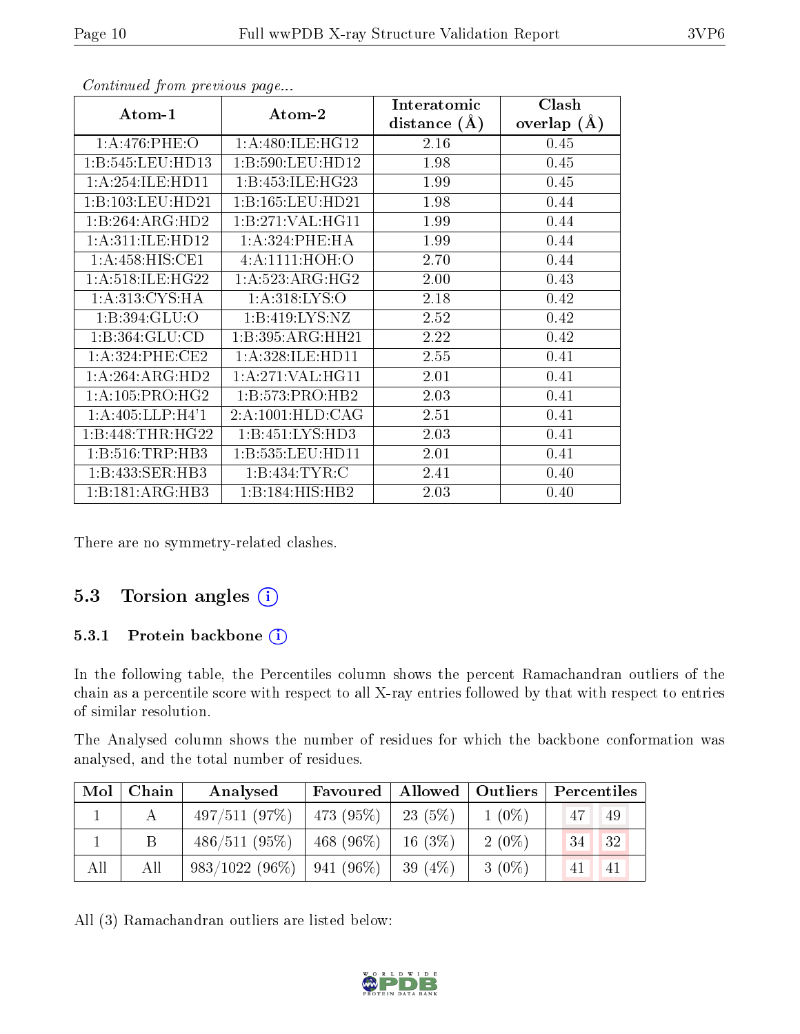| Atom-1              | Atom-2                       | Interatomic<br>distance $(A)$ | Clash<br>overlap $(A)$ |
|---------------------|------------------------------|-------------------------------|------------------------|
| 1: A:476:PHE:O      | 1: A:480: ILE: HG12          | 2.16                          | 0.45                   |
| 1:B:545:LEU:HD13    | 1:B:590:LEU:HD12             | 1.98                          | 0.45                   |
| 1:A:254:ILE:HD11    | 1:B:453:ILE:HG23             | 1.99                          | 0.45                   |
| 1:B:103:LEU:HD21    | 1:B:165:LEU:HD21             | 1.98                          | 0.44                   |
| 1:B:264:ARG:HD2     | 1:B:271:VAL:H <sub>G11</sub> | 1.99                          | 0.44                   |
| 1: A:311: ILE: HD12 | 1: A:324:PHE:HA              | 1.99                          | 0.44                   |
| 1: A:458: HIS: CE1  | 4: A: 1111: HOH: O           | 2.70                          | 0.44                   |
| 1:A:518:ILE:HG22    | 1:A:523:ARG:HG2              | 2.00                          | 0.43                   |
| 1: A:313: CYS:HA    | 1: A:318: LYS:O              | 2.18                          | 0.42                   |
| 1:B:394:GLU:O       | 1:B:419:LYS:NZ               | 2.52                          | 0.42                   |
| 1: B: 364: GLU: CD  | 1:B:395:ARG:HH21             | 2.22                          | 0.42                   |
| 1:A:324:PHE:CE2     | 1: A:328: ILE: HD11          | 2.55                          | 0.41                   |
| 1:A:264:ARG:HD2     | 1: A:271: VAL:HGI1           | 2.01                          | 0.41                   |
| 1: A:105: PRO:HG2   | 1:B:573:PRO:HB2              | 2.03                          | 0.41                   |
| 1: A:405: LLP:H4'1  | 2:A:1001:HLD:CAG             | 2.51                          | 0.41                   |
| 1:B:448:THR:HG22    | 1:B:451:LYS:HD3              | 2.03                          | 0.41                   |
| 1:B:516:TRP:HB3     | 1:B:535:LEU:HD11             | 2.01                          | 0.41                   |
| 1:B:433:SER:HB3     | 1:B:434:TYR:C                | 2.41                          | 0.40                   |
| 1:B:181:ARG:HB3     | 1:B:184:HIS:HB2              | 2.03                          | 0.40                   |

Continued from previous page...

There are no symmetry-related clashes.

#### 5.3 Torsion angles (i)

#### 5.3.1 Protein backbone (i)

In the following table, the Percentiles column shows the percent Ramachandran outliers of the chain as a percentile score with respect to all X-ray entries followed by that with respect to entries of similar resolution.

The Analysed column shows the number of residues for which the backbone conformation was analysed, and the total number of residues.

| Mol | Chain | Analysed         | Favoured   Allowed   Outliers |           |          | Percentiles                    |
|-----|-------|------------------|-------------------------------|-----------|----------|--------------------------------|
|     |       | 497/511(97%)     | $\pm 473$ (95%) $\pm$         | 23 (5%)   | $1(0\%)$ | 47<br>49                       |
|     | B     | 486/511(95%)     | 468 $(96\%)$                  | $16(3\%)$ | $2(0\%)$ | $\left 34\right\rangle$<br> 32 |
| All | All   | $983/1022(96\%)$ | $ 941(96\%)$                  | 39 $(4%)$ | $3(0\%)$ | -41<br>41                      |

All (3) Ramachandran outliers are listed below:

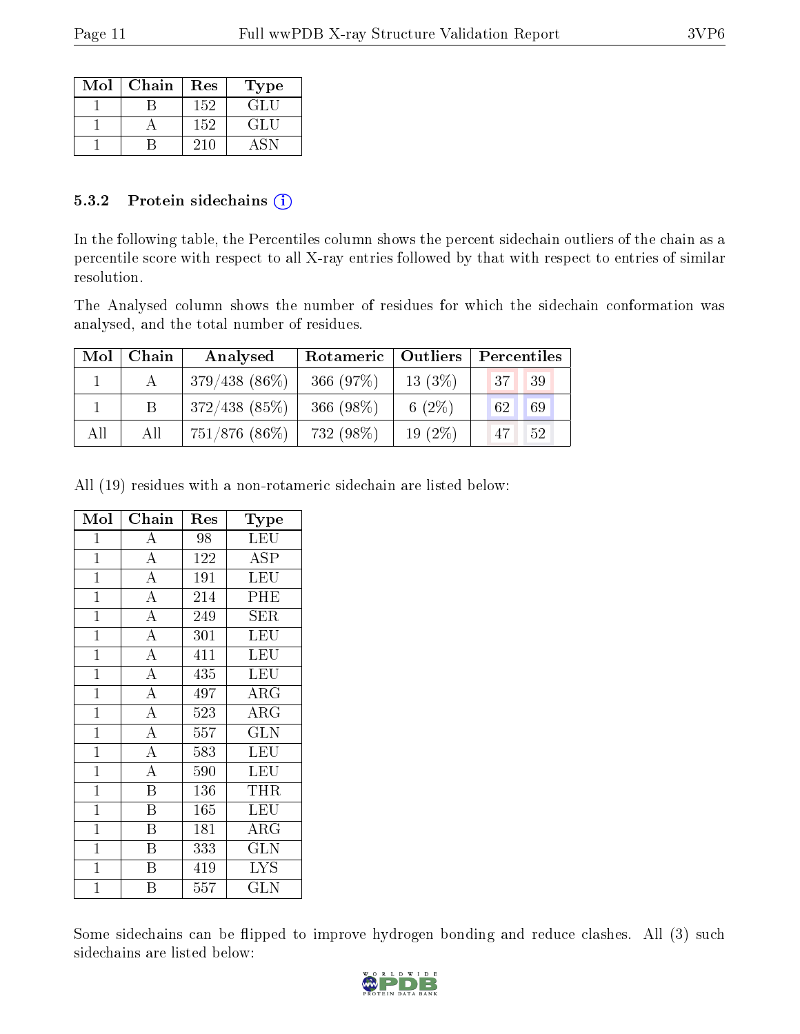| Mol | Chain | Res | Type |
|-----|-------|-----|------|
|     |       | 152 | GLU  |
|     |       | 152 | GLU  |
|     |       | 210 |      |

#### 5.3.2 Protein sidechains  $(i)$

In the following table, the Percentiles column shows the percent sidechain outliers of the chain as a percentile score with respect to all X-ray entries followed by that with respect to entries of similar resolution.

The Analysed column shows the number of residues for which the sidechain conformation was analysed, and the total number of residues.

| Mol | Chain | Analysed        |             | Rotameric   Outliers  <br>Percentiles |                            |
|-----|-------|-----------------|-------------|---------------------------------------|----------------------------|
|     |       | $379/438(86\%)$ | 366 (97%)   | $13(3\%)$                             | 39<br>137 <sub>1</sub>     |
|     |       | $372/438$ (85%) | $366(98\%)$ | 6 $(2\%)$                             | 69<br>62                   |
| All | All   | $751/876$ (86%) | 732 (98\%)  | $19(2\%)$                             | $^{\backprime}$ 47 .<br>52 |

All (19) residues with a non-rotameric sidechain are listed below:

| Mol            | Chain                          | Res | $_{\rm Type}$           |
|----------------|--------------------------------|-----|-------------------------|
| $\mathbf 1$    | A                              | 98  | $\overline{\text{LEU}}$ |
| $\mathbf{1}$   | $\overline{A}$                 | 122 | <b>ASP</b>              |
| $\mathbf{1}$   | $\overline{\rm A}$             | 191 | <b>LEU</b>              |
| $\mathbf{1}$   | $\overline{\rm A}$             | 214 | PHE                     |
| $\mathbf{1}$   | $\overline{A}$                 | 249 | SER                     |
| $\mathbf{1}$   | $\overline{\overline{\rm{A}}}$ | 301 | <b>LEU</b>              |
| $\overline{1}$ | $\overline{A}$                 | 411 | LEU                     |
| $\mathbf{1}$   | $\overline{A}$                 | 435 | <b>LEU</b>              |
| $\mathbf{1}$   | $\overline{A}$                 | 497 | $\rm{ARG}$              |
| $\mathbf{1}$   | $\overline{A}$                 | 523 | $\rm{ARG}$              |
| $\mathbf{1}$   | $\overline{\rm A}$             | 557 | <b>GLN</b>              |
| $\mathbf{1}$   | $\overline{A}$                 | 583 | <b>LEU</b>              |
| $\mathbf{1}$   | $\overline{\rm A}$             | 590 | <b>LEU</b>              |
| $\overline{1}$ | $\overline{\mathrm{B}}$        | 136 | THR                     |
| $\mathbf{1}$   | $\overline{\mathrm{B}}$        | 165 | <b>LEU</b>              |
| $\mathbf{1}$   | $\overline{\mathrm{B}}$        | 181 | $\rm{ARG}$              |
| $\mathbf{1}$   | $\overline{\mathrm{B}}$        | 333 | GLN                     |
| $\mathbf{1}$   | Β                              | 419 | <b>LYS</b>              |
| $\mathbf{1}$   | Β                              | 557 | $_{\rm GLN}$            |

Some sidechains can be flipped to improve hydrogen bonding and reduce clashes. All (3) such sidechains are listed below:

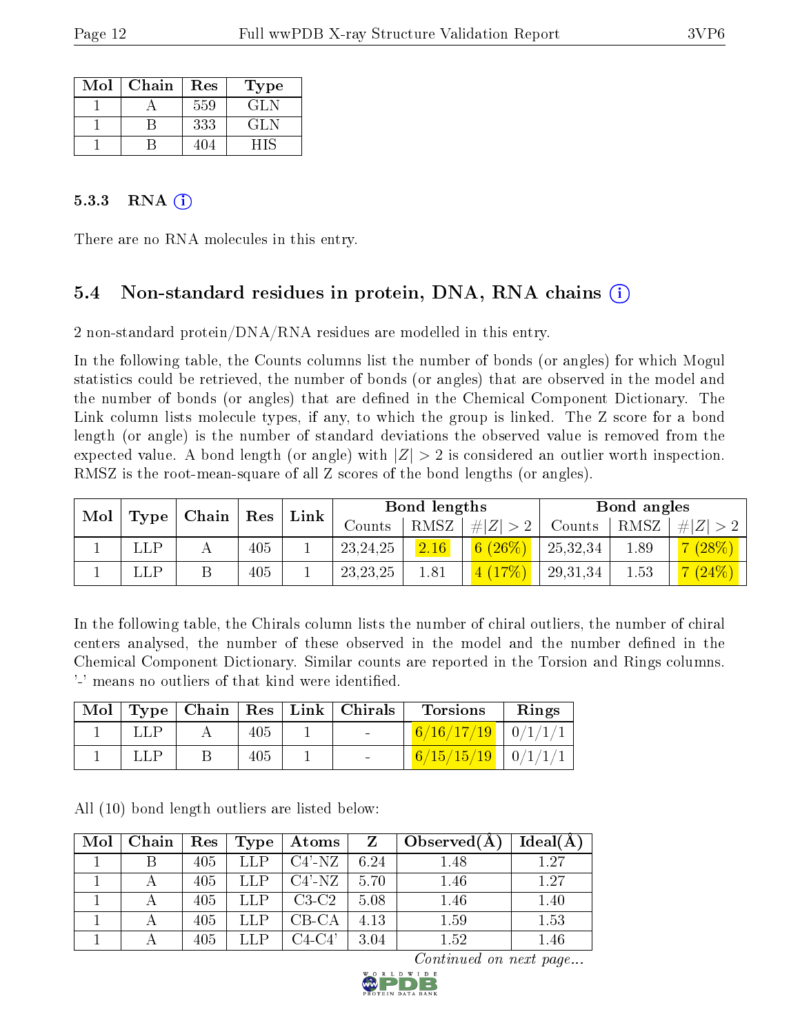| Mol | Chain | Res | Type |
|-----|-------|-----|------|
|     |       | 559 | GL N |
|     |       | 333 | GL N |
|     |       |     | ŦIS  |

#### $5.3.3$  RNA  $(i)$

There are no RNA molecules in this entry.

### 5.4 Non-standard residues in protein, DNA, RNA chains (i)

2 non-standard protein/DNA/RNA residues are modelled in this entry.

In the following table, the Counts columns list the number of bonds (or angles) for which Mogul statistics could be retrieved, the number of bonds (or angles) that are observed in the model and the number of bonds (or angles) that are defined in the Chemical Component Dictionary. The Link column lists molecule types, if any, to which the group is linked. The Z score for a bond length (or angle) is the number of standard deviations the observed value is removed from the expected value. A bond length (or angle) with  $|Z| > 2$  is considered an outlier worth inspection. RMSZ is the root-mean-square of all Z scores of the bond lengths (or angles).

|     |                          |     | Link |            | Bond lengths |             |          | Bond angles |       |
|-----|--------------------------|-----|------|------------|--------------|-------------|----------|-------------|-------|
|     | Mol   Type   Chain   Res |     |      | Counts     | $'$ RMSZ     | # $ Z  > 2$ | Counts   | RMSZ        | # Z   |
| LLP |                          | 405 |      | 23, 24, 25 | 2.16         | 6(26%)      | 25,32,34 | 1.89        | (28%) |
| LLP |                          | 405 |      | 23, 23, 25 | 1.81         | 4(17%)      | 29,31,34 | 1.53        | (24%) |

In the following table, the Chirals column lists the number of chiral outliers, the number of chiral centers analysed, the number of these observed in the model and the number defined in the Chemical Component Dictionary. Similar counts are reported in the Torsion and Rings columns. '-' means no outliers of that kind were identified.

| Mol |  |     | Type   Chain   Res   Link   Chirals | <b>Torsions</b>          | Rings |
|-----|--|-----|-------------------------------------|--------------------------|-------|
|     |  | 405 | $\sim$ 100 $\mu$                    | $6/16/17/19$ 0/1/1/1     |       |
|     |  | 405 | $\sim$                              | $6/15/15/19$   $0/1/1/1$ |       |

All (10) bond length outliers are listed below:

| Mol | Chain | $_{\rm Res}$ | Type | Atoms     | Z    | Observed $(A)$ | $Ideal(\AA)$ |
|-----|-------|--------------|------|-----------|------|----------------|--------------|
|     |       | 405          | LLP  | $C4'$ -NZ | 6.24 | 1.48           | 1.27         |
|     |       | 405          | LLP  | $C4'$ -NZ | 5.70 | 1.46           | 1.27         |
|     |       | 405          | LLP  | $C3-C2$   | 5.08 | 1.46           | 1.40         |
|     |       | 405          | LLP  | $CB-CA$   | 4.13 | 1.59           | 1.53         |
|     |       | 405          | LLP  | $C4-C4'$  | 3.04 | $1.52\,$       | 1.46         |

Continued on next page...

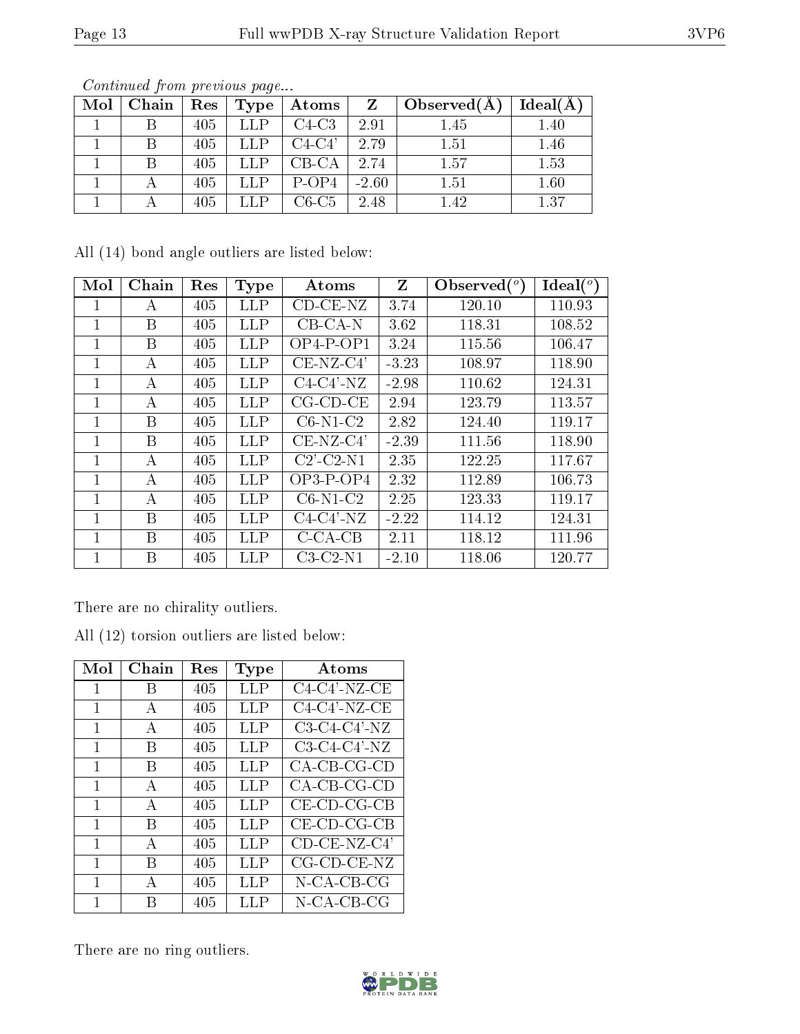| Mol | Chain | Res | Type | Atoms    | Z       | Observed $(A)$ | Ideal(A) |
|-----|-------|-----|------|----------|---------|----------------|----------|
|     |       | 405 | LLP  | $C4-C3$  | 2.91    | 1.45           | 1.40     |
|     |       | 405 | LLP  | $C4-C4'$ | 2.79    | 1.51           | 1.46     |
|     |       | 405 | LLP  | $CB-CA$  | 2.74    | 1.57           | 1.53     |
|     |       | 405 | LLP  | $P-OP4$  | $-2.60$ | 1.51           | 1.60     |
|     |       | 405 |      | $C6-C5$  | 2.48    | 1.42           | 1.37     |

Continued from previous page...

All (14) bond angle outliers are listed below:

| Mol | Chain | Res | <b>Type</b> | Atoms                      | Z       | Observed $(°)$ | $Ideal(^{\circ})$ |
|-----|-------|-----|-------------|----------------------------|---------|----------------|-------------------|
|     | А     | 405 | <b>LLP</b>  | $CD$ - $CE$ - $NZ$         | 3.74    | 120.10         | 110.93            |
| 1   | B     | 405 | LLP         | $CB-CA-N$                  | 3.62    | 118.31         | 108.52            |
| 1   | B     | 405 | <b>LLP</b>  | $OP4-POP1$                 | 3.24    | 115.56         | 106.47            |
| 1   | А     | 405 | <b>LLP</b>  | $CE-NZ-C4'$                | $-3.23$ | 108.97         | 118.90            |
| 1   | А     | 405 | <b>LLP</b>  | $C4-C4'$ -NZ               | $-2.98$ | 110.62         | 124.31            |
| 1   | А     | 405 | <b>LLP</b>  | $CG$ - $CD$ - $CE$         | 2.94    | 123.79         | 113.57            |
| 1   | B     | 405 | <b>LLP</b>  | $C6-N1-C2$                 | 2.82    | 124.40         | 119.17            |
| 1   | B     | 405 | LLP         | $CE-NZ-C4'$                | $-2.39$ | 111.56         | 118.90            |
| 1   | А     | 405 | LLP         | $C2$ <sup>-</sup> $C2$ -N1 | 2.35    | 122.25         | 117.67            |
| 1   | А     | 405 | LLP         | $OP3-POP4$                 | 2.32    | 112.89         | 106.73            |
| 1   | A     | 405 | LLP         | $C6-N1-C2$                 | 2.25    | 123.33         | 119.17            |
| 1   | B     | 405 | <b>LLP</b>  | $C4-C4'$ -NZ               | $-2.22$ | 114.12         | 124.31            |
| 1   | B     | 405 | LLP         | $C$ -CA-CB                 | 2.11    | 118.12         | 111.96            |
| 1   | В     | 405 | LLP         | $C3-C2-N1$                 | $-2.10$ | 118.06         | 120.77            |

There are no chirality outliers.

All (12) torsion outliers are listed below:

| Mol | Chain        | <b>Res</b> | Type | Atoms                           |
|-----|--------------|------------|------|---------------------------------|
| 1   | B            | 405        | LLP  | $C4-C4'$ -NZ-CE                 |
| 1   | А            | 405        | LLP  | $C4-C4'$ -NZ-CE                 |
| 1   | А            | 405        | LLP  | $C3-C4-C4'$ -NZ                 |
| 1   | B            | 405        | LLP  | $C3-C4-C4'$ -NZ                 |
| 1   | B            | 405        | LLP  | $CA-CB-CG-CD$                   |
| 1   | $\mathbf{A}$ | 405        | LLP  | $CA-CB-CG-CD$                   |
| 1   | А            | 405        | LLP  | CE-CD-CG-CB                     |
| 1   | B            | 405        | LLP  | CE-CD-CG-CB                     |
| 1   | А            | 405        | LLP  | $\overline{\text{CD-CE-NZ-CA}}$ |
| 1   | В            | 405        | LLP  | CG-CD-CE-NZ                     |
| 1   | A            | 405        | LLP  | N-CA-CB-CG                      |
|     | R            | 405        | LLP  | N-CA-CB-CG                      |

There are no ring outliers.

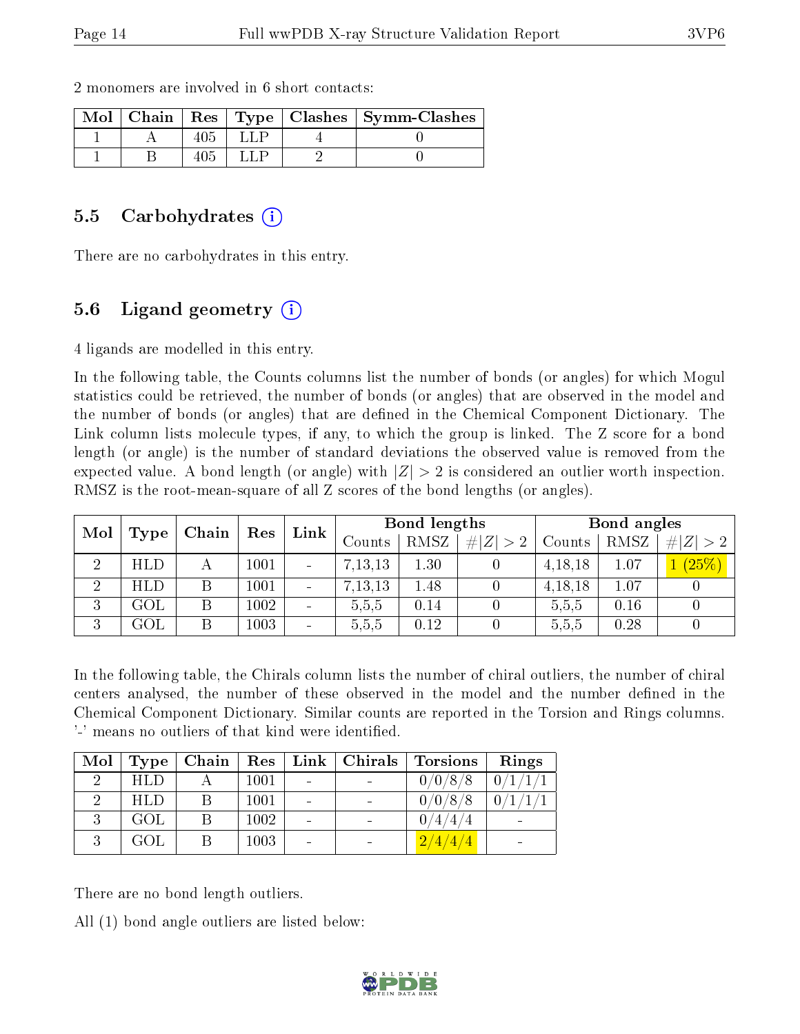|  |  | $\text{Mol}$   Chain   Res   Type   Clashes   Symm-Clashes |
|--|--|------------------------------------------------------------|
|  |  |                                                            |
|  |  |                                                            |

2 monomers are involved in 6 short contacts:

#### 5.5 Carbohydrates (i)

There are no carbohydrates in this entry.

### 5.6 Ligand geometry (i)

4 ligands are modelled in this entry.

In the following table, the Counts columns list the number of bonds (or angles) for which Mogul statistics could be retrieved, the number of bonds (or angles) that are observed in the model and the number of bonds (or angles) that are defined in the Chemical Component Dictionary. The Link column lists molecule types, if any, to which the group is linked. The Z score for a bond length (or angle) is the number of standard deviations the observed value is removed from the expected value. A bond length (or angle) with  $|Z| > 2$  is considered an outlier worth inspection. RMSZ is the root-mean-square of all Z scores of the bond lengths (or angles).

| Mol<br>Type | $ $ Chain      | $\operatorname{Res}$ | Link | Bond lengths             |           |             | Bond angles |           |      |             |
|-------------|----------------|----------------------|------|--------------------------|-----------|-------------|-------------|-----------|------|-------------|
|             |                |                      |      |                          | Counts    | <b>RMSZ</b> | $\# Z  > 2$ | Counts    | RMSZ | # $ Z  > 2$ |
| ച           | <b>HLD</b>     |                      | 1001 | $\overline{\phantom{a}}$ | 7, 13, 13 | 1.30        |             | 4, 18, 18 | 1.07 | $(25\%)$    |
| -2          | HLD            |                      | 1001 | $\blacksquare$           | 7, 13, 13 | 1.48        |             | 4, 18, 18 | 1.07 |             |
| 3           | $\mathrm{GOL}$ |                      | 1002 | $\sim$                   | 5,5,5     | 0.14        |             | 5,5,5     | 0.16 |             |
| 3           | $\mathrm{GOL}$ |                      | 1003 | $\overline{\phantom{a}}$ | 5.5.5     | 0.12        |             | 5,5,5     | 0.28 |             |

In the following table, the Chirals column lists the number of chiral outliers, the number of chiral centers analysed, the number of these observed in the model and the number defined in the Chemical Component Dictionary. Similar counts are reported in the Torsion and Rings columns. '-' means no outliers of that kind were identified.

| Mol      | Type       | Chain | $\operatorname{Res}$ |                          | Link   Christmas   Torsions | Rings |
|----------|------------|-------|----------------------|--------------------------|-----------------------------|-------|
| $\Omega$ | <b>HLD</b> |       | 1001                 | $\qquad \qquad$          | 0/0/8/8                     | 0/1   |
|          | <b>HLD</b> |       | 1001                 | $\overline{\phantom{0}}$ | 0/0/8/8                     |       |
| $\Omega$ | GOL        |       | 1002                 |                          | $^{\prime}$ 4 /             |       |
|          | GOL.       |       | 1003                 |                          | 2/4/4/                      |       |

There are no bond length outliers.

All (1) bond angle outliers are listed below:

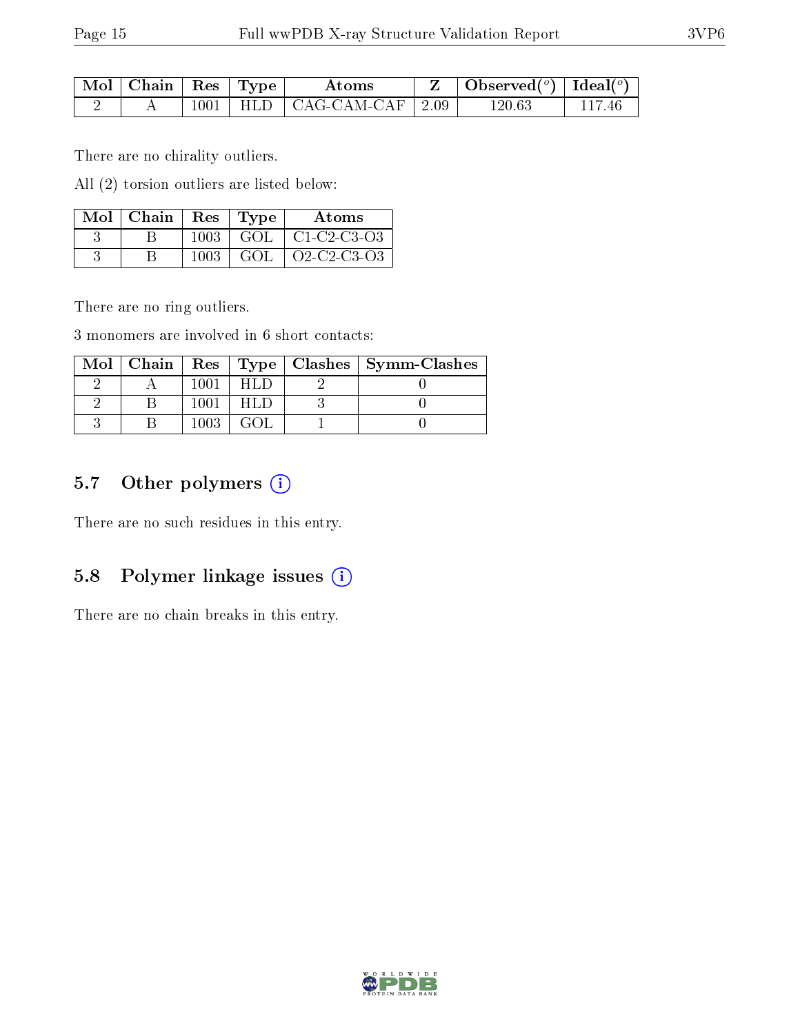| Mol   Chain   Res   Type |  | Atoms                             | $\vert$ Observed $(^\circ)$ $\vert$ Ideal $(^\circ)$ |  |
|--------------------------|--|-----------------------------------|------------------------------------------------------|--|
|                          |  | $1001$   HLD   CAG-CAM-CAF   2.09 | 120.63                                               |  |

There are no chirality outliers.

All (2) torsion outliers are listed below:

| $Mol$   Chain   Res   Type |      |     | Atoms                           |
|----------------------------|------|-----|---------------------------------|
|                            | 1003 |     | $\vert$ GOL $\vert$ C1-C2-C3-O3 |
|                            | 1003 | GOL | $\sqrt{02-C2-C3-03}$            |

There are no ring outliers.

3 monomers are involved in 6 short contacts:

|  |      |  | Mol   Chain   Res   Type   Clashes   Symm-Clashes |
|--|------|--|---------------------------------------------------|
|  | 100. |  |                                                   |
|  | 100. |  |                                                   |
|  | 1003 |  |                                                   |

### 5.7 [O](https://www.wwpdb.org/validation/2017/XrayValidationReportHelp#nonstandard_residues_and_ligands)ther polymers (i)

There are no such residues in this entry.

#### 5.8 Polymer linkage issues (i)

There are no chain breaks in this entry.

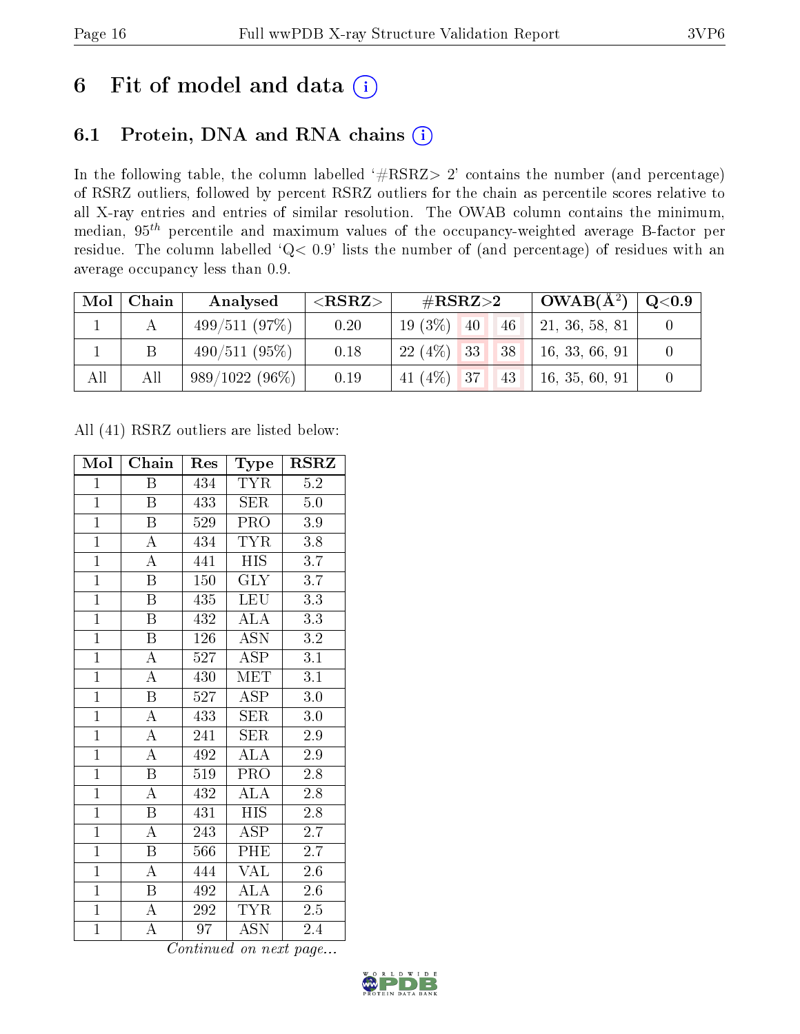# 6 Fit of model and data  $(i)$

### 6.1 Protein, DNA and RNA chains  $(i)$

In the following table, the column labelled  $#RSRZ> 2'$  contains the number (and percentage) of RSRZ outliers, followed by percent RSRZ outliers for the chain as percentile scores relative to all X-ray entries and entries of similar resolution. The OWAB column contains the minimum, median,  $95<sup>th</sup>$  percentile and maximum values of the occupancy-weighted average B-factor per residue. The column labelled ' $Q< 0.9$ ' lists the number of (and percentage) of residues with an average occupancy less than 0.9.

| Mol | Chain | Analysed         | ${ <\hspace{-1.5pt}{\mathrm{RSRZ}} \hspace{-1.5pt}>}$ | $\#\text{RSRZ}{>}2$   | $\perp$ OWAB(Å <sup>2</sup> ) $\perp$ | $\rm Q\textcolor{black}{<}0.9$ |
|-----|-------|------------------|-------------------------------------------------------|-----------------------|---------------------------------------|--------------------------------|
|     |       | 499/511(97%)     | 0.20                                                  | $19(3\%)$<br>40<br>46 | 21, 36, 58, 81                        |                                |
|     |       | 490/511(95%)     | 0.18                                                  | $22(4\%)$ 33<br> 38   | 16, 33, 66, 91                        |                                |
| All | All   | $989/1022(96\%)$ | 0.19                                                  | 41 $(4\%)$ 37<br>43   | 16, 35, 60, 91                        |                                |

All (41) RSRZ outliers are listed below:

| Mol            | Chain                   | Res | Type                      | $\rm RSRZ$       |
|----------------|-------------------------|-----|---------------------------|------------------|
| $\mathbf{1}$   | Β                       | 434 | <b>TYR</b>                | $5.2\,$          |
| $\mathbf{1}$   | B                       | 433 | <b>SER</b>                | $5.0\,$          |
| $\overline{1}$ | $\overline{\mathrm{B}}$ | 529 | PRO                       | $3.9\,$          |
| $\overline{1}$ | $\overline{\rm A}$      | 434 | <b>TYR</b>                | $3.8\,$          |
| $\overline{1}$ | $\overline{\rm A}$      | 441 | <b>HIS</b>                | $\overline{3.7}$ |
| $\overline{1}$ | $\, {\bf B}$            | 150 | $\overline{\text{GLY}}$   | $\overline{3.7}$ |
| $\overline{1}$ | $\overline{\mathrm{B}}$ | 435 | <b>LEU</b>                | $\overline{3.3}$ |
| $\overline{1}$ | $\overline{\mathbf{B}}$ | 432 | <b>ALA</b>                | 3.3              |
| $\overline{1}$ | $\overline{\mathrm{B}}$ | 126 | <b>ASN</b>                | 3.2              |
| $\overline{1}$ | $\overline{\rm A}$      | 527 | $\overline{\rm ASP}$      | $\overline{3.1}$ |
| $\overline{1}$ | $\overline{\rm A}$      | 430 | <b>MET</b>                | $\overline{3.1}$ |
| $\overline{1}$ | $\overline{\mathrm{B}}$ | 527 | $\overline{\rm ASP}$      | $3.0\,$          |
| $\overline{1}$ | $\overline{\rm A}$      | 433 | <b>SER</b>                | 3.0              |
| $\mathbf{1}$   | $\overline{\rm A}$      | 241 | <b>SER</b>                | 2.9              |
| $\overline{1}$ | $\overline{\rm A}$      | 492 | $\overline{ALA}$          | 2.9              |
| $\overline{1}$ | $\overline{\mathrm{B}}$ | 519 | PRO                       | 2.8              |
| $\overline{1}$ | $\overline{\rm A}$      | 432 | $\overline{\rm ALA}$      | $\overline{2.8}$ |
| $\mathbf{1}$   | B                       | 431 | <b>HIS</b>                | $2.8\,$          |
| $\overline{1}$ | $\overline{\rm A}$      | 243 | $\overline{\text{ASP}}$   | $\overline{2.7}$ |
| $\overline{1}$ | $\overline{\mathbf{B}}$ | 566 | PHE                       | 2.7              |
| $\overline{1}$ | $\overline{\rm A}$      | 444 | <b>VAL</b>                | 2.6              |
| $\overline{1}$ | Β                       | 492 | $\overline{\rm ALA}$      | $2.6\,$          |
| $\overline{1}$ | $\boldsymbol{A}$        | 292 | <b>TYR</b>                | 2.5              |
| $\overline{1}$ | А                       | 97  | $\overline{\mathrm{ASN}}$ | 2.4              |

Continued on next page...

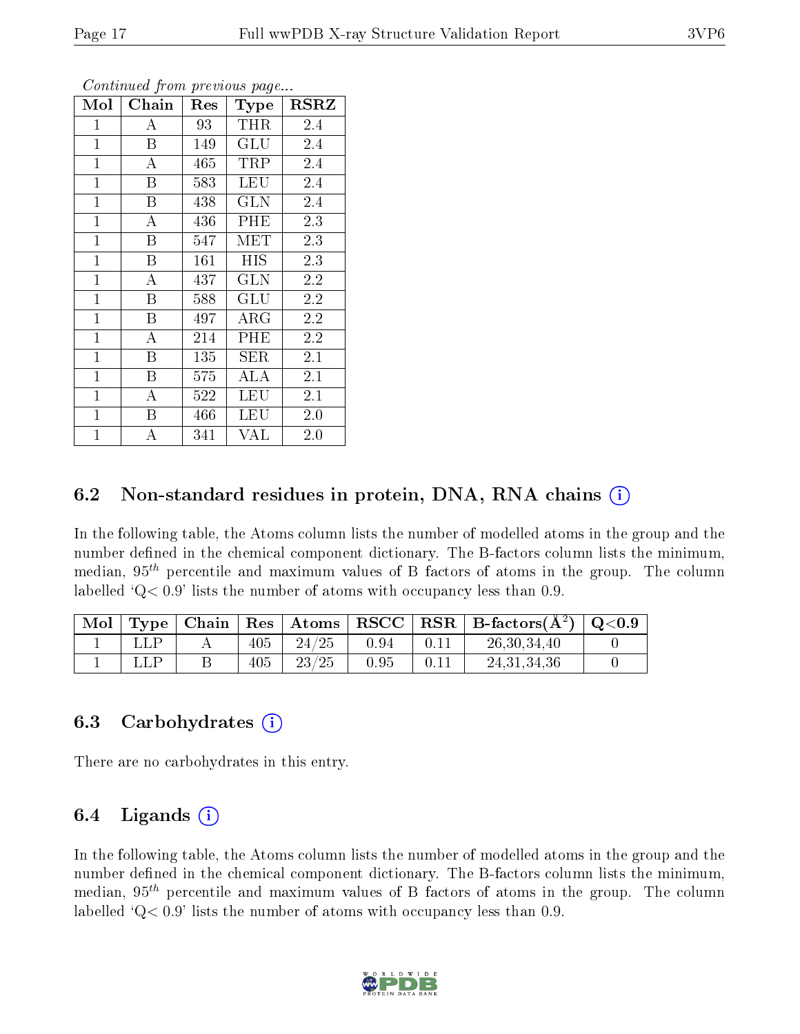| Mol          | Chain              | Res | <b>Type</b> | <b>RSRZ</b> |
|--------------|--------------------|-----|-------------|-------------|
| $\mathbf{1}$ | А                  | 93  | THR         | 2.4         |
| $\mathbf{1}$ | B                  | 149 | GLU         | 2.4         |
| $\mathbf{1}$ | A                  | 465 | TRP         | 2.4         |
| $\mathbf{1}$ | $\boldsymbol{B}$   | 583 | LEU         | 2.4         |
| $\mathbf{1}$ | $\boldsymbol{B}$   | 438 | GLN         | 2.4         |
| $\mathbf{1}$ | А                  | 436 | PHE         | 2.3         |
| $\mathbf{1}$ | B                  | 547 | MET         | 2.3         |
| $\mathbf{1}$ | B                  | 161 | HIS         | 2.3         |
| $\mathbf{1}$ | $\bf{A}$           | 437 | GLN         | 2.2         |
| $\mathbf{1}$ | B                  | 588 | GLU         | 2.2         |
| $\mathbf{1}$ | B                  | 497 | $\rm{ARG}$  | 2.2         |
| $\mathbf{1}$ | $\overline{\rm A}$ | 214 | PHE         | 2.2         |
| $\mathbf{1}$ | B                  | 135 | ${\rm SER}$ | 2.1         |
| $\mathbf{1}$ | Β                  | 575 | ALA         | 2.1         |
| $\mathbf 1$  | А                  | 522 | <b>LEU</b>  | 2.1         |
| $\mathbf 1$  | Β                  | 466 | LEU         | $2.0\,$     |
| $\mathbf{1}$ | А                  | 341 | VAL         | 2.0         |

Continued from previous page...

### 6.2 Non-standard residues in protein, DNA, RNA chains  $(i)$

In the following table, the Atoms column lists the number of modelled atoms in the group and the number defined in the chemical component dictionary. The B-factors column lists the minimum, median,  $95<sup>th</sup>$  percentile and maximum values of B factors of atoms in the group. The column labelled  $Q< 0.9$ ' lists the number of atoms with occupancy less than 0.9.

| Mol |  |     | $\Gamma$ Type   Chain   Res   Atoms |      | $\vert$ RSCC $\vert$ RSR $\vert$ B-factors( $\AA^2$ ) $\vert$ Q<0.9 |  |
|-----|--|-----|-------------------------------------|------|---------------------------------------------------------------------|--|
|     |  | 405 | 24/25                               | 0.94 | 26, 30, 34, 40                                                      |  |
|     |  | 405 | 23/25                               | 0.95 | 24.31.34.36                                                         |  |

#### 6.3 Carbohydrates (i)

There are no carbohydrates in this entry.

#### 6.4 Ligands  $(i)$

In the following table, the Atoms column lists the number of modelled atoms in the group and the number defined in the chemical component dictionary. The B-factors column lists the minimum, median,  $95<sup>th</sup>$  percentile and maximum values of B factors of atoms in the group. The column labelled  $Q< 0.9$ ' lists the number of atoms with occupancy less than 0.9.